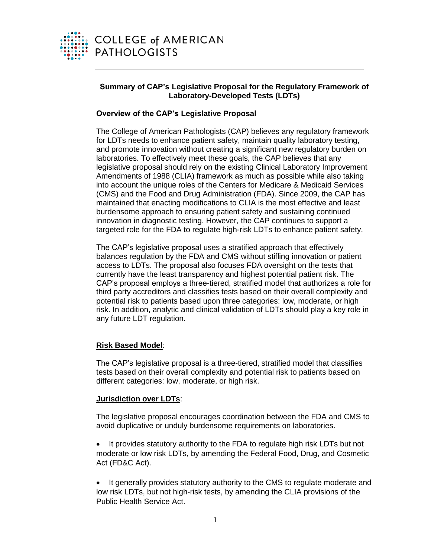

# **Summary of CAP's Legislative Proposal for the Regulatory Framework of Laboratory-Developed Tests (LDTs)**

# **Overview of the CAP's Legislative Proposal**

The College of American Pathologists (CAP) believes any regulatory framework for LDTs needs to enhance patient safety, maintain quality laboratory testing, and promote innovation without creating a significant new regulatory burden on laboratories. To effectively meet these goals, the CAP believes that any legislative proposal should rely on the existing Clinical Laboratory Improvement Amendments of 1988 (CLIA) framework as much as possible while also taking into account the unique roles of the Centers for Medicare & Medicaid Services (CMS) and the Food and Drug Administration (FDA). Since 2009, the CAP has maintained that enacting modifications to CLIA is the most effective and least burdensome approach to ensuring patient safety and sustaining continued innovation in diagnostic testing. However, the CAP continues to support a targeted role for the FDA to regulate high-risk LDTs to enhance patient safety.

The CAP's legislative proposal uses a stratified approach that effectively balances regulation by the FDA and CMS without stifling innovation or patient access to LDTs. The proposal also focuses FDA oversight on the tests that currently have the least transparency and highest potential patient risk. The CAP's proposal employs a three-tiered, stratified model that authorizes a role for third party accreditors and classifies tests based on their overall complexity and potential risk to patients based upon three categories: low, moderate, or high risk. In addition, analytic and clinical validation of LDTs should play a key role in any future LDT regulation.

# **Risk Based Model**:

The CAP's legislative proposal is a three-tiered, stratified model that classifies tests based on their overall complexity and potential risk to patients based on different categories: low, moderate, or high risk.

# **Jurisdiction over LDTs**:

The legislative proposal encourages coordination between the FDA and CMS to avoid duplicative or unduly burdensome requirements on laboratories.

- It provides statutory authority to the FDA to regulate high risk LDTs but not moderate or low risk LDTs, by amending the Federal Food, Drug, and Cosmetic Act (FD&C Act).
- It generally provides statutory authority to the CMS to regulate moderate and low risk LDTs, but not high-risk tests, by amending the CLIA provisions of the Public Health Service Act.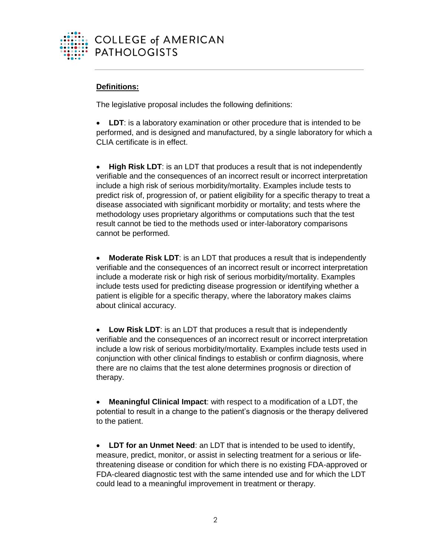

# **Definitions:**

The legislative proposal includes the following definitions:

 **LDT**: is a laboratory examination or other procedure that is intended to be performed, and is designed and manufactured, by a single laboratory for which a CLIA certificate is in effect.

 **High Risk LDT**: is an LDT that produces a result that is not independently verifiable and the consequences of an incorrect result or incorrect interpretation include a high risk of serious morbidity/mortality. Examples include tests to predict risk of, progression of, or patient eligibility for a specific therapy to treat a disease associated with significant morbidity or mortality; and tests where the methodology uses proprietary algorithms or computations such that the test result cannot be tied to the methods used or inter-laboratory comparisons cannot be performed.

 **Moderate Risk LDT**: is an LDT that produces a result that is independently verifiable and the consequences of an incorrect result or incorrect interpretation include a moderate risk or high risk of serious morbidity/mortality. Examples include tests used for predicting disease progression or identifying whether a patient is eligible for a specific therapy, where the laboratory makes claims about clinical accuracy.

 **Low Risk LDT**: is an LDT that produces a result that is independently verifiable and the consequences of an incorrect result or incorrect interpretation include a low risk of serious morbidity/mortality. Examples include tests used in conjunction with other clinical findings to establish or confirm diagnosis, where there are no claims that the test alone determines prognosis or direction of therapy.

 **Meaningful Clinical Impact**: with respect to a modification of a LDT, the potential to result in a change to the patient's diagnosis or the therapy delivered to the patient.

 **LDT for an Unmet Need**: an LDT that is intended to be used to identify, measure, predict, monitor, or assist in selecting treatment for a serious or lifethreatening disease or condition for which there is no existing FDA-approved or FDA-cleared diagnostic test with the same intended use and for which the LDT could lead to a meaningful improvement in treatment or therapy.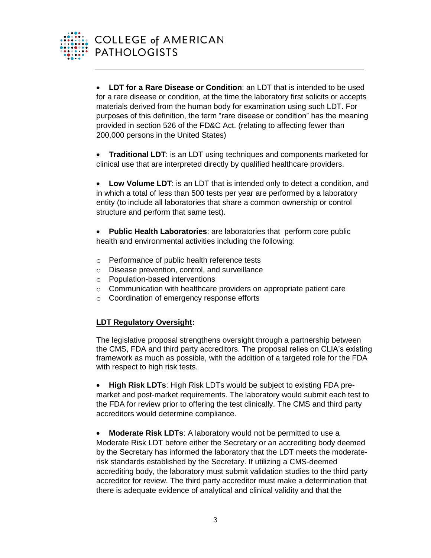

 **LDT for a Rare Disease or Condition**: an LDT that is intended to be used for a rare disease or condition, at the time the laboratory first solicits or accepts materials derived from the human body for examination using such LDT. For purposes of this definition, the term "rare disease or condition" has the meaning provided in section 526 of the FD&C Act. (relating to affecting fewer than 200,000 persons in the United States)

 **Traditional LDT**: is an LDT using techniques and components marketed for clinical use that are interpreted directly by qualified healthcare providers.

 **Low Volume LDT**: is an LDT that is intended only to detect a condition, and in which a total of less than 500 tests per year are performed by a laboratory entity (to include all laboratories that share a common ownership or control structure and perform that same test).

 **Public Health Laboratories**: are laboratories that perform core public health and environmental activities including the following:

- o Performance of public health reference tests
- o Disease prevention, control, and surveillance
- o Population-based interventions
- o Communication with healthcare providers on appropriate patient care
- o Coordination of emergency response efforts

# **LDT Regulatory Oversight:**

The legislative proposal strengthens oversight through a partnership between the CMS, FDA and third party accreditors. The proposal relies on CLIA's existing framework as much as possible, with the addition of a targeted role for the FDA with respect to high risk tests.

 **High Risk LDTs**: High Risk LDTs would be subject to existing FDA premarket and post-market requirements. The laboratory would submit each test to the FDA for review prior to offering the test clinically. The CMS and third party accreditors would determine compliance.

 **Moderate Risk LDTs**: A laboratory would not be permitted to use a Moderate Risk LDT before either the Secretary or an accrediting body deemed by the Secretary has informed the laboratory that the LDT meets the moderaterisk standards established by the Secretary. If utilizing a CMS-deemed accrediting body, the laboratory must submit validation studies to the third party accreditor for review. The third party accreditor must make a determination that there is adequate evidence of analytical and clinical validity and that the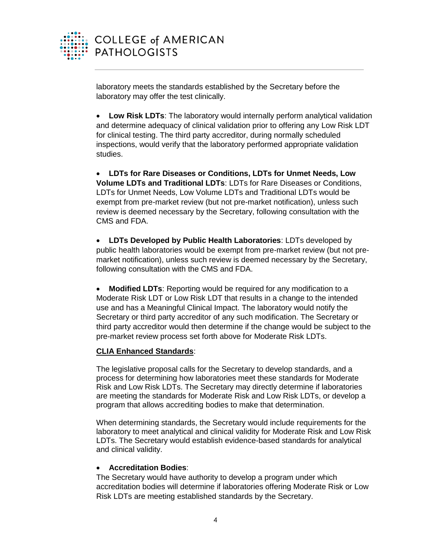

laboratory meets the standards established by the Secretary before the laboratory may offer the test clinically.

 **Low Risk LDTs**: The laboratory would internally perform analytical validation and determine adequacy of clinical validation prior to offering any Low Risk LDT for clinical testing. The third party accreditor, during normally scheduled inspections, would verify that the laboratory performed appropriate validation studies.

 **LDTs for Rare Diseases or Conditions, LDTs for Unmet Needs, Low Volume LDTs and Traditional LDTs**: LDTs for Rare Diseases or Conditions, LDTs for Unmet Needs, Low Volume LDTs and Traditional LDTs would be exempt from pre-market review (but not pre-market notification), unless such review is deemed necessary by the Secretary, following consultation with the CMS and FDA.

 **LDTs Developed by Public Health Laboratories**: LDTs developed by public health laboratories would be exempt from pre-market review (but not premarket notification), unless such review is deemed necessary by the Secretary, following consultation with the CMS and FDA.

 **Modified LDTs**: Reporting would be required for any modification to a Moderate Risk LDT or Low Risk LDT that results in a change to the intended use and has a Meaningful Clinical Impact. The laboratory would notify the Secretary or third party accreditor of any such modification. The Secretary or third party accreditor would then determine if the change would be subject to the pre-market review process set forth above for Moderate Risk LDTs.

# **CLIA Enhanced Standards**:

The legislative proposal calls for the Secretary to develop standards, and a process for determining how laboratories meet these standards for Moderate Risk and Low Risk LDTs. The Secretary may directly determine if laboratories are meeting the standards for Moderate Risk and Low Risk LDTs, or develop a program that allows accrediting bodies to make that determination.

When determining standards, the Secretary would include requirements for the laboratory to meet analytical and clinical validity for Moderate Risk and Low Risk LDTs. The Secretary would establish evidence-based standards for analytical and clinical validity.

# **Accreditation Bodies**:

The Secretary would have authority to develop a program under which accreditation bodies will determine if laboratories offering Moderate Risk or Low Risk LDTs are meeting established standards by the Secretary.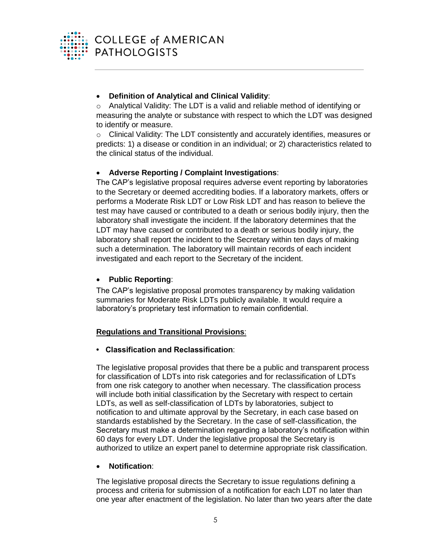

# **Definition of Analytical and Clinical Validity**:

 $\circ$  Analytical Validity: The LDT is a valid and reliable method of identifying or measuring the analyte or substance with respect to which the LDT was designed to identify or measure.

o Clinical Validity: The LDT consistently and accurately identifies, measures or predicts: 1) a disease or condition in an individual; or 2) characteristics related to the clinical status of the individual.

# **Adverse Reporting / Complaint Investigations**:

The CAP's legislative proposal requires adverse event reporting by laboratories to the Secretary or deemed accrediting bodies. If a laboratory markets, offers or performs a Moderate Risk LDT or Low Risk LDT and has reason to believe the test may have caused or contributed to a death or serious bodily injury, then the laboratory shall investigate the incident. If the laboratory determines that the LDT may have caused or contributed to a death or serious bodily injury, the laboratory shall report the incident to the Secretary within ten days of making such a determination. The laboratory will maintain records of each incident investigated and each report to the Secretary of the incident.

# **Public Reporting**:

The CAP's legislative proposal promotes transparency by making validation summaries for Moderate Risk LDTs publicly available. It would require a laboratory's proprietary test information to remain confidential.

# **Regulations and Transitional Provisions**:

# **• Classification and Reclassification**:

The legislative proposal provides that there be a public and transparent process for classification of LDTs into risk categories and for reclassification of LDTs from one risk category to another when necessary. The classification process will include both initial classification by the Secretary with respect to certain LDTs, as well as self-classification of LDTs by laboratories, subject to notification to and ultimate approval by the Secretary, in each case based on standards established by the Secretary. In the case of self-classification, the Secretary must make a determination regarding a laboratory's notification within 60 days for every LDT. Under the legislative proposal the Secretary is authorized to utilize an expert panel to determine appropriate risk classification.

# **Notification**:

The legislative proposal directs the Secretary to issue regulations defining a process and criteria for submission of a notification for each LDT no later than one year after enactment of the legislation. No later than two years after the date